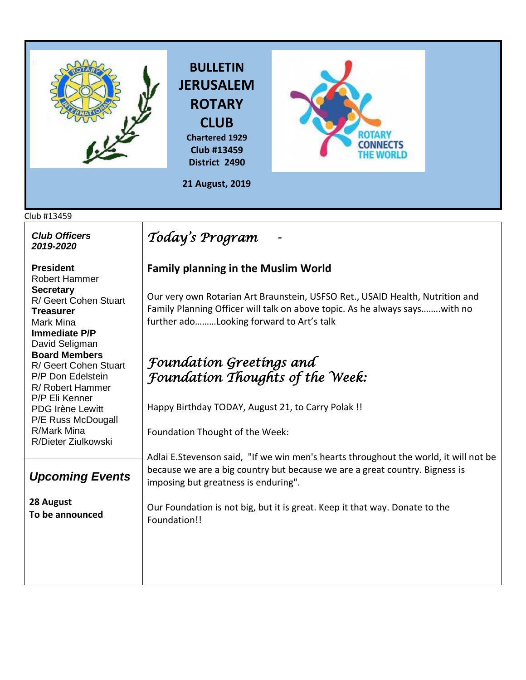

## Club #13459

| <b>Club Officers</b><br>2019-2020                                                                                    | Today's Program                                                                                                                                                                                              |
|----------------------------------------------------------------------------------------------------------------------|--------------------------------------------------------------------------------------------------------------------------------------------------------------------------------------------------------------|
| <b>President</b><br><b>Robert Hammer</b>                                                                             | <b>Family planning in the Muslim World</b>                                                                                                                                                                   |
| <b>Secretary</b><br>R/ Geert Cohen Stuart<br><b>Treasurer</b><br>Mark Mina<br><b>Immediate P/P</b><br>David Seligman | Our very own Rotarian Art Braunstein, USFSO Ret., USAID Health, Nutrition and<br>Family Planning Officer will talk on above topic. As he always sayswith no<br>further adoLooking forward to Art's talk      |
| <b>Board Members</b>                                                                                                 | Foundation Greetings and                                                                                                                                                                                     |
| R/ Geert Cohen Stuart<br>P/P Don Edelstein<br>R/ Robert Hammer                                                       | <b>Foundation Thoughts of the Week:</b>                                                                                                                                                                      |
| P/P Eli Kenner<br><b>PDG Irène Lewitt</b><br>P/E Russ McDougall                                                      | Happy Birthday TODAY, August 21, to Carry Polak !!                                                                                                                                                           |
| R/Mark Mina<br>R/Dieter Ziulkowski                                                                                   | Foundation Thought of the Week:                                                                                                                                                                              |
| <b>Upcoming Events</b>                                                                                               | Adlai E. Stevenson said, "If we win men's hearts throughout the world, it will not be<br>because we are a big country but because we are a great country. Bigness is<br>imposing but greatness is enduring". |
| 28 August<br>To be announced                                                                                         | Our Foundation is not big, but it is great. Keep it that way. Donate to the<br>Foundation!!                                                                                                                  |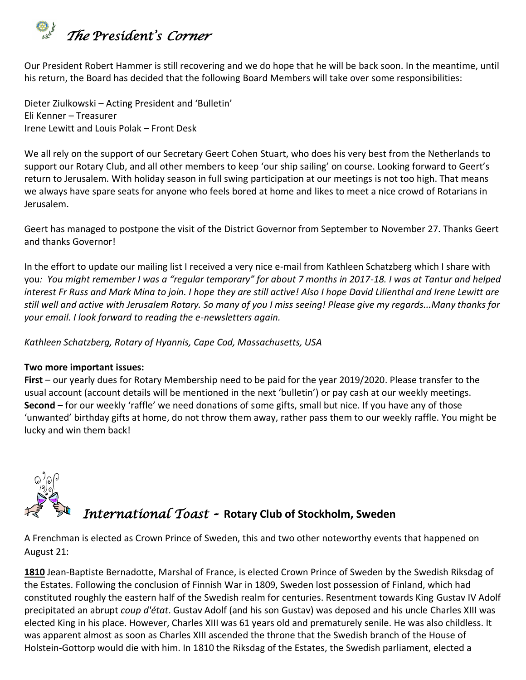

Our President Robert Hammer is still recovering and we do hope that he will be back soon. In the meantime, until his return, the Board has decided that the following Board Members will take over some responsibilities:

Dieter Ziulkowski – Acting President and 'Bulletin' Eli Kenner – Treasurer Irene Lewitt and Louis Polak – Front Desk

We all rely on the support of our Secretary Geert Cohen Stuart, who does his very best from the Netherlands to support our Rotary Club, and all other members to keep 'our ship sailing' on course. Looking forward to Geert's return to Jerusalem. With holiday season in full swing participation at our meetings is not too high. That means we always have spare seats for anyone who feels bored at home and likes to meet a nice crowd of Rotarians in Jerusalem.

Geert has managed to postpone the visit of the District Governor from September to November 27. Thanks Geert and thanks Governor!

In the effort to update our mailing list I received a very nice e-mail from Kathleen Schatzberg which I share with you*: You might remember I was a "regular temporary" for about 7 months in 2017-18. I was at Tantur and helped interest Fr Russ and Mark Mina to join. I hope they are still active! Also I hope David Lilienthal and Irene Lewitt are still well and active with Jerusalem Rotary. So many of you I miss seeing! Please give my regards...Many thanks for your email. I look forward to reading the e-newsletters again.*

*Kathleen Schatzberg, Rotary of Hyannis, Cape Cod, Massachusetts, USA* 

## **Two more important issues:**

**First** – our yearly dues for Rotary Membership need to be paid for the year 2019/2020. Please transfer to the usual account (account details will be mentioned in the next 'bulletin') or pay cash at our weekly meetings. **Second** – for our weekly 'raffle' we need donations of some gifts, small but nice. If you have any of those 'unwanted' birthday gifts at home, do not throw them away, rather pass them to our weekly raffle. You might be lucky and win them back!



A Frenchman is elected as Crown Prince of Sweden, this and two other noteworthy events that happened on August 21:

**[1810](https://www.onthisday.com/events/date/1810)** Jean-Baptiste Bernadotte, Marshal of France, is elected Crown Prince of Sweden by the Swedish Riksdag of the Estates. Following the conclusion of [Finnish War](https://en.wikipedia.org/wiki/Finnish_War) in 1809, Sweden lost possession of [Finland,](https://en.wikipedia.org/wiki/Finland) which had constituted roughly the eastern half of the Swedish realm for centuries. Resentment towards King [Gustav IV Adolf](https://en.wikipedia.org/wiki/Gustav_IV_Adolf_of_Sweden) precipitated an abrupt *[coup d'état](https://en.wikipedia.org/wiki/Coup_d%27%C3%A9tat)*. Gustav Adolf (and his son [Gustav\)](https://en.wikipedia.org/wiki/Gustav,_Prince_of_Vasa) was deposed and his uncle [Charles XIII](https://en.wikipedia.org/wiki/Charles_XIII_of_Sweden) was elected King in his place. However, Charles XIII was 61 years old and prematurely senile. He was also childless. It was apparent almost as soon as Charles XIII ascended the throne that the Swedish branch of the House of Holstein-Gottorp would die with him. In 1810 the [Riksdag of the Estates,](https://en.wikipedia.org/wiki/Riksdag_of_the_Estates) the Swedish parliament, elected a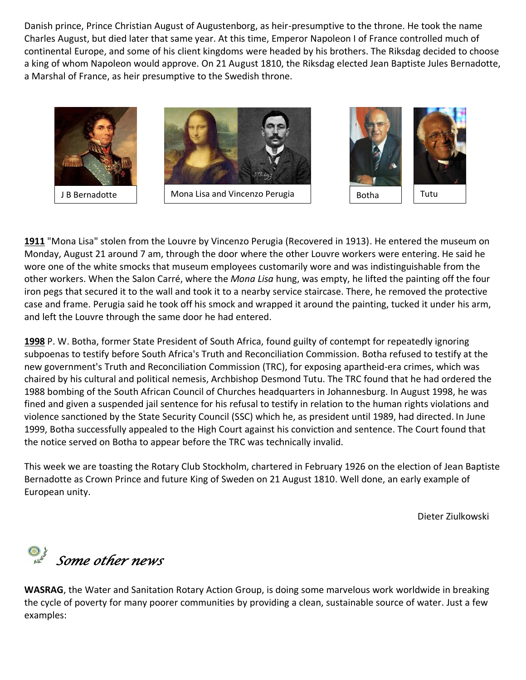[Danish](https://en.wikipedia.org/wiki/Denmark) prince, Prince Christian August of Augustenborg, as heir-presumptive to the throne. He took the name [Charles August,](https://en.wikipedia.org/wiki/Charles_August,_Crown_Prince_of_Sweden) but died later that same year. At this time, Emperor [Napoleon I of France](https://en.wikipedia.org/wiki/Napoleon_I_of_France) controlled much of continental Europe, and some of his [client kingdoms](https://en.wikipedia.org/wiki/Napoleonic_Empire) were headed by his brothers. The Riksdag decided to choose a king of whom Napoleon would approve. On 21 August 1810, the Riksdag elected Jean Baptiste Jules Bernadotte, a [Marshal of France,](https://en.wikipedia.org/wiki/Marshal_of_France) as [heir presumptive](https://en.wikipedia.org/wiki/Heir_presumptive) to the Swedish throne.





BBBothaB

**[1911](https://www.onthisday.com/events/date/1911)** "Mona Lisa" stolen from the Louvre by Vincenzo Perugia (Recovered in 1913). He entered the museum on Monday, August 21 around 7 am, through the door where the other Louvre workers were entering. He said he wore one of the white smocks that museum employees customarily wore and was indistinguishable from the other workers. When the [Salon Carré,](https://en.wikipedia.org/wiki/Salon_Carr%C3%A9) where the *Mona Lisa* hung, was empty, he lifted the painting off the four iron pegs that secured it to the wall and took it to a nearby service staircase. There, he removed the protective case and frame. Perugia said he took off his smock and wrapped it around the painting, tucked it under his arm, and left the Louvre through the same door he had entered.

**[1998](https://www.onthisday.com/events/date/1998)** [P. W. Botha,](https://www.onthisday.com/people/p-w-botha) former State President of South Africa, found guilty of contempt for repeatedly ignoring subpoenas to testify before South Africa's Truth and Reconciliation Commission. Botha refused to testify at the new government's [Truth and Reconciliation Commission](https://en.wikipedia.org/wiki/Truth_and_Reconciliation_Commission_(South_Africa)) (TRC), for exposing apartheid-era crimes, which was chaired by his cultural and political nemesis, Archbishop [Desmond Tutu.](https://en.wikipedia.org/wiki/Desmond_Tutu) The TRC found that he had ordered the 1988 bombing of the [South African Council of Churches](https://en.wikipedia.org/wiki/South_African_Council_of_Churches) headquarters in Johannesburg. In August 1998, he was fined and given a [suspended](https://en.wikipedia.org/wiki/Suspended_sentence) jail sentence for his refusal to testify in relation to the human rights violations and violence sanctioned by the [State Security Council](https://en.wikipedia.org/wiki/State_Security_Council) (SSC) which he, as president until 1989, had directed. In June 1999, Botha successfully appealed to the [High Court](https://en.wikipedia.org/wiki/High_Court_of_South_Africa) against his conviction and sentence. The Court found that the notice served on Botha to appear before the TRC was technically invalid.

This week we are toasting the Rotary Club Stockholm, chartered in February 1926 on the election of Jean Baptiste Bernadotte as Crown Prince and future King of Sweden on 21 August 1810. Well done, an early example of European unity.

Dieter Ziulkowski

*Some other news* 

**WASRAG**, the Water and Sanitation Rotary Action Group, is doing some marvelous work worldwide in breaking the cycle of poverty for many poorer communities by providing a clean, sustainable source of water. Just a few examples: